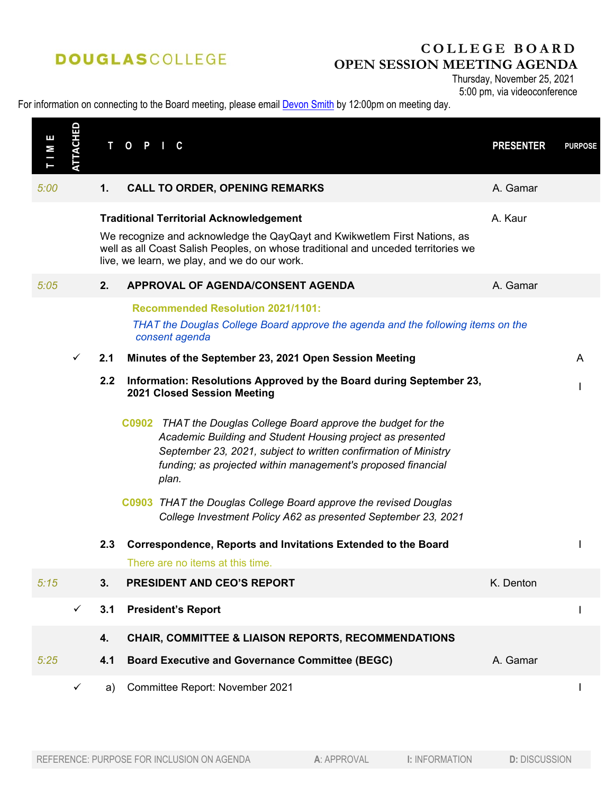# **DOUGLASCOLLEGE**

## **COLLEGE BOARD OPEN SESSION MEETING AGENDA**

Thursday, November 25, 2021 5:00 pm, via videoconference

#### For information on connecting to the Board meeting, please email **Devon Smith** by 12:00pm on meeting day.

| Е<br>М | <b>ATTACHED</b> | т   | 0<br>C.                                                                                                                                                                                                                                                                   | <b>PRESENTER</b> | <b>PURPOSE</b> |
|--------|-----------------|-----|---------------------------------------------------------------------------------------------------------------------------------------------------------------------------------------------------------------------------------------------------------------------------|------------------|----------------|
| 5:00   |                 | 1.  | <b>CALL TO ORDER, OPENING REMARKS</b>                                                                                                                                                                                                                                     | A. Gamar         |                |
|        |                 |     | <b>Traditional Territorial Acknowledgement</b><br>We recognize and acknowledge the QayQayt and Kwikwetlem First Nations, as<br>well as all Coast Salish Peoples, on whose traditional and unceded territories we<br>live, we learn, we play, and we do our work.          | A. Kaur          |                |
| 5:05   |                 | 2.  | APPROVAL OF AGENDA/CONSENT AGENDA                                                                                                                                                                                                                                         | A. Gamar         |                |
|        |                 |     | <b>Recommended Resolution 2021/1101:</b><br>THAT the Douglas College Board approve the agenda and the following items on the<br>consent agenda                                                                                                                            |                  |                |
|        | $\checkmark$    | 2.1 | Minutes of the September 23, 2021 Open Session Meeting                                                                                                                                                                                                                    |                  | A              |
|        |                 | 2.2 | Information: Resolutions Approved by the Board during September 23,<br>2021 Closed Session Meeting                                                                                                                                                                        |                  |                |
|        |                 |     | C0902 THAT the Douglas College Board approve the budget for the<br>Academic Building and Student Housing project as presented<br>September 23, 2021, subject to written confirmation of Ministry<br>funding; as projected within management's proposed financial<br>plan. |                  |                |
|        |                 |     | C0903 THAT the Douglas College Board approve the revised Douglas<br>College Investment Policy A62 as presented September 23, 2021                                                                                                                                         |                  |                |
|        |                 | 2.3 | Correspondence, Reports and Invitations Extended to the Board<br>There are no items at this time.                                                                                                                                                                         |                  |                |
| 5:15   |                 | 3.  | <b>PRESIDENT AND CEO'S REPORT</b>                                                                                                                                                                                                                                         | K. Denton        |                |
|        | ✓               | 3.1 | <b>President's Report</b>                                                                                                                                                                                                                                                 |                  |                |
|        |                 | 4.  | CHAIR, COMMITTEE & LIAISON REPORTS, RECOMMENDATIONS                                                                                                                                                                                                                       |                  |                |
| 5:25   |                 | 4.1 | <b>Board Executive and Governance Committee (BEGC)</b>                                                                                                                                                                                                                    | A. Gamar         |                |
|        | ✓               | a)  | Committee Report: November 2021                                                                                                                                                                                                                                           |                  |                |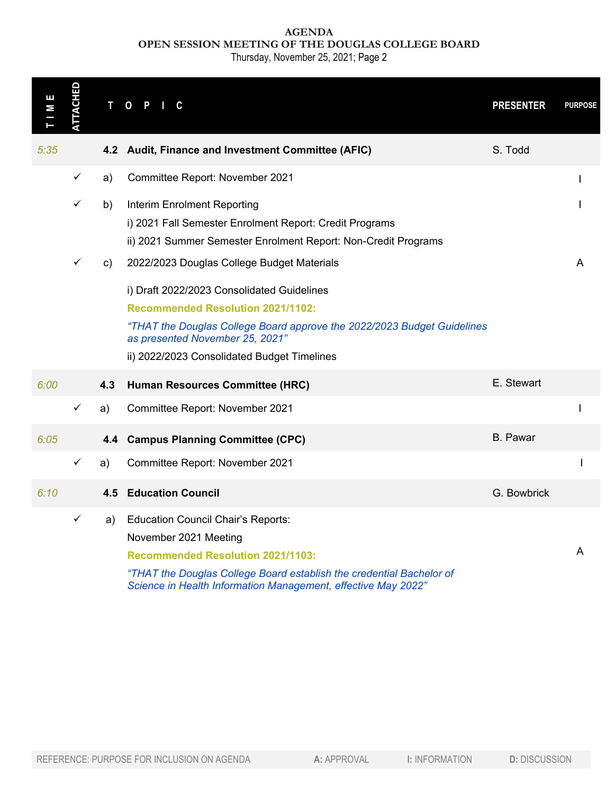### **AGENDA OPEN SESSION MEETING OF THE DOUGLAS COLLEGE BOARD**

Thursday, November 25, 2021; Page 2

| ш<br>М | <b>ATTACHED</b> |     | T O P<br>C                                                                                                                                                                                                                                                                                        |                       | <b>PRESENTER</b>     | <b>PURPOSE</b> |
|--------|-----------------|-----|---------------------------------------------------------------------------------------------------------------------------------------------------------------------------------------------------------------------------------------------------------------------------------------------------|-----------------------|----------------------|----------------|
| 5:35   |                 |     | 4.2 Audit, Finance and Investment Committee (AFIC)                                                                                                                                                                                                                                                |                       | S. Todd              |                |
|        | $\checkmark$    | a)  | Committee Report: November 2021                                                                                                                                                                                                                                                                   |                       |                      |                |
|        | $\checkmark$    | b)  | Interim Enrolment Reporting<br>i) 2021 Fall Semester Enrolment Report: Credit Programs<br>ii) 2021 Summer Semester Enrolment Report: Non-Credit Programs                                                                                                                                          |                       |                      |                |
|        | ✓               | C)  | 2022/2023 Douglas College Budget Materials<br>i) Draft 2022/2023 Consolidated Guidelines<br><b>Recommended Resolution 2021/1102:</b><br>"THAT the Douglas College Board approve the 2022/2023 Budget Guidelines<br>as presented November 25, 2021"<br>ii) 2022/2023 Consolidated Budget Timelines |                       |                      | A              |
| 6:00   |                 | 4.3 | Human Resources Committee (HRC)                                                                                                                                                                                                                                                                   |                       | E. Stewart           |                |
|        | $\checkmark$    | a)  | Committee Report: November 2021                                                                                                                                                                                                                                                                   |                       |                      |                |
| 6:05   |                 | 4.4 | <b>Campus Planning Committee (CPC)</b>                                                                                                                                                                                                                                                            |                       | <b>B.</b> Pawar      |                |
|        | ✓               | a)  | Committee Report: November 2021                                                                                                                                                                                                                                                                   |                       |                      |                |
| 6:10   |                 | 4.5 | <b>Education Council</b>                                                                                                                                                                                                                                                                          |                       | G. Bowbrick          |                |
|        | $\checkmark$    | a)  | <b>Education Council Chair's Reports:</b><br>November 2021 Meeting<br><b>Recommended Resolution 2021/1103:</b><br>"THAT the Douglas College Board establish the credential Bachelor of<br>Science in Health Information Management, effective May 2022"                                           |                       |                      | A              |
|        |                 |     | REFERENCE: PURPOSE FOR INCLUSION ON AGENDA<br>A: APPROVAL                                                                                                                                                                                                                                         | <b>I: INFORMATION</b> | <b>D: DISCUSSION</b> |                |